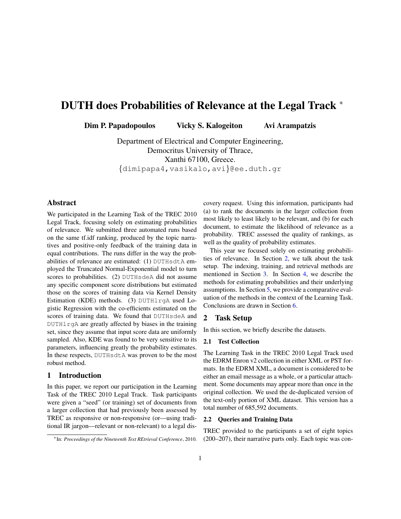# DUTH does Probabilities of Relevance at the Legal Track <sup>∗</sup>

Dim P. Papadopoulos Vicky S. Kalogeiton Avi Arampatzis

Department of Electrical and Computer Engineering, Democritus University of Thrace, Xanthi 67100, Greece. {dimipapa4,vasikalo,avi}@ee.duth.gr

# Abstract

We participated in the Learning Task of the TREC 2010 Legal Track, focusing solely on estimating probabilities of relevance. We submitted three automated runs based on the same tf.idf ranking, produced by the topic narratives and positive-only feedback of the training data in equal contributions. The runs differ in the way the probabilities of relevance are estimated: (1) DUTHsdtA employed the Truncated Normal-Exponential model to turn scores to probabilities. (2) DUTHsdeA did not assume any specific component score distributions but estimated those on the scores of training data via Kernel Density Estimation (KDE) methods. (3) DUTHlrgA used Logistic Regression with the co-efficients estimated on the scores of training data. We found that DUTHsdeA and DUTHlrgA are greatly affected by biases in the training set, since they assume that input score data are uniformly sampled. Also, KDE was found to be very sensitive to its parameters, influencing greatly the probability estimates. In these respects, DUTHsdtA was proven to be the most robust method.

## 1 Introduction

In this paper, we report our participation in the Learning Task of the TREC 2010 Legal Track. Task participants were given a "seed" (or training) set of documents from a larger collection that had previously been assessed by TREC as responsive or non-responsive (or—using traditional IR jargon—relevant or non-relevant) to a legal discovery request. Using this information, participants had (a) to rank the documents in the larger collection from most likely to least likely to be relevant, and (b) for each document, to estimate the likelihood of relevance as a probability. TREC assessed the quality of rankings, as well as the quality of probability estimates.

This year we focused solely on estimating probabilities of relevance. In Section [2,](#page-0-0) we talk about the task setup. The indexing, training, and retrieval methods are mentioned in Section [3.](#page-1-0) In Section [4,](#page-1-1) we describe the methods for estimating probabilities and their underlying assumptions. In Section [5,](#page-3-0) we provide a comparative evaluation of the methods in the context of the Learning Task. Conclusions are drawn in Section [6.](#page-5-0)

# <span id="page-0-0"></span>2 Task Setup

In this section, we briefly describe the datasets.

#### 2.1 Test Collection

The Learning Task in the TREC 2010 Legal Track used the EDRM Enron v2 collection in either XML or PST formats. In the EDRM XML, a document is considered to be either an email message as a whole, or a particular attachment. Some documents may appear more than once in the original collection. We used the de-duplicated version of the text-only portion of XML dataset. This version has a total number of 685,592 documents.

#### 2.2 Queries and Training Data

TREC provided to the participants a set of eight topics (200–207), their narrative parts only. Each topic was con-

<sup>∗</sup>In: *Proceedings of the Nineteenth Text REtrieval Conference*, 2010.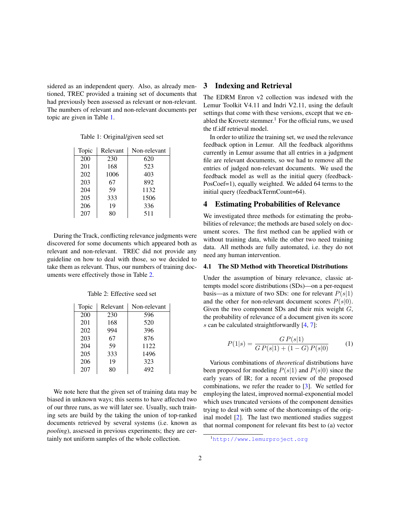sidered as an independent query. Also, as already mentioned, TREC provided a training set of documents that had previously been assessed as relevant or non-relevant. The numbers of relevant and non-relevant documents per topic are given in Table [1.](#page-1-2)

<span id="page-1-2"></span>Table 1: Original/given seed set

| Topic | Relevant | Non-relevant |
|-------|----------|--------------|
| 200   | 230      | 620          |
| 201   | 168      | 523          |
| 202   | 1006     | 403          |
| 203   | 67       | 892          |
| 204   | 59       | 1132         |
| 205   | 333      | 1506         |
| 206   | 19       | 336          |
| 207   | 80       | 511          |

During the Track, conflicting relevance judgments were discovered for some documents which appeared both as relevant and non-relevant. TREC did not provide any guideline on how to deal with those, so we decided to take them as relevant. Thus, our numbers of training documents were effectively those in Table [2.](#page-1-3)

<span id="page-1-3"></span>Table 2: Effective seed set

| Topic | Relevant | Non-relevant |
|-------|----------|--------------|
| 200   | 230      | 596          |
| 201   | 168      | 520          |
| 202   | 994      | 396          |
| 203   | 67       | 876          |
| 204   | 59       | 1122         |
| 205   | 333      | 1496         |
| 206   | 19       | 323          |
| 207   | 80       | 492          |

We note here that the given set of training data may be biased in unknown ways; this seems to have affected two of our three runs, as we will later see. Usually, such training sets are build by the taking the union of top-ranked documents retrieved by several systems (i.e. known as *pooling*), assessed in previous experiments; they are certainly not uniform samples of the whole collection.

# <span id="page-1-0"></span>3 Indexing and Retrieval

The EDRM Enron v2 collection was indexed with the Lemur Toolkit V4.11 and Indri V2.11, using the default settings that come with these versions, except that we enabled the Krovetz stemmer.<sup>1</sup> For the official runs, we used the tf.idf retrieval model.

In order to utilize the training set, we used the relevance feedback option in Lemur. All the feedback algorithms currently in Lemur assume that all entries in a judgment file are relevant documents, so we had to remove all the entries of judged non-relevant documents. We used the feedback model as well as the initial query (feedback-PosCoef=1), equally weighted. We added 64 terms to the initial query (feedbackTermCount=64).

## <span id="page-1-1"></span>4 Estimating Probabilities of Relevance

We investigated three methods for estimating the probabilities of relevance; the methods are based solely on document scores. The first method can be applied with or without training data, while the other two need training data. All methods are fully automated, i.e. they do not need any human intervention.

#### 4.1 The SD Method with Theoretical Distributions

Under the assumption of binary relevance, classic attempts model score distributions (SDs)—on a per-request basis—as a mixture of two SDs: one for relevant  $P(s|1)$ and the other for non-relevant document scores  $P(s|0)$ . Given the two component SDs and their mix weight  $G$ , the probability of relevance of a document given its score s can be calculated straightforwardly  $[4, 7]$  $[4, 7]$  $[4, 7]$ :

<span id="page-1-4"></span>
$$
P(1|s) = \frac{GP(s|1)}{GP(s|1) + (1 - G)P(s|0)}\tag{1}
$$

Various combinations of *theoretical* distributions have been proposed for modeling  $P(s|1)$  and  $P(s|0)$  since the early years of IR; for a recent review of the proposed combinations, we refer the reader to [\[3\]](#page-5-3). We settled for employing the latest, improved normal-exponential model which uses truncated versions of the component densities trying to deal with some of the shortcomings of the original model [\[2\]](#page-5-4). The last two mentioned studies suggest that normal component for relevant fits best to (a) vector

<sup>1</sup><http://www.lemurproject.org>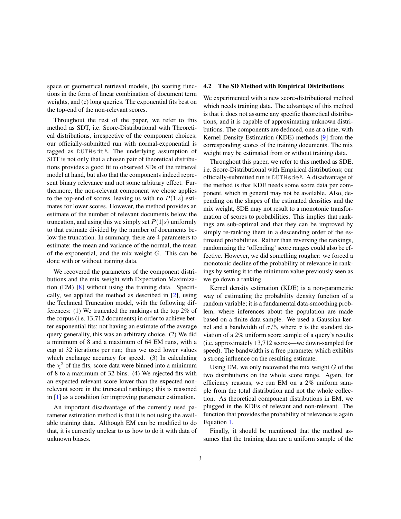space or geometrical retrieval models, (b) scoring functions in the form of linear combination of document term weights, and (c) long queries. The exponential fits best on the top-end of the non-relevant scores.

Throughout the rest of the paper, we refer to this method as SDT, i.e. Score-Distributional with Theoretical distributions, irrespective of the component choices; our officially-submitted run with normal-exponential is tagged as DUTHsdtA. The underlying assumption of SDT is not only that a chosen pair of theoretical distributions provides a good fit to observed SDs of the retrieval model at hand, but also that the components indeed represent binary relevance and not some arbitrary effect. Furthermore, the non-relevant component we chose applies to the top-end of scores, leaving us with no  $P(1|s)$  estimates for lower scores. However, the method provides an estimate of the number of relevant documents below the truncation, and using this we simply set  $P(1|s)$  uniformly to that estimate divided by the number of documents below the truncation. In summary, there are 4 parameters to estimate: the mean and variance of the normal, the mean of the exponential, and the mix weight  $G$ . This can be done with or without training data.

We recovered the parameters of the component distributions and the mix weight with Expectation Maximization (EM) [\[8\]](#page-5-5) without using the training data. Specifically, we applied the method as described in [\[2\]](#page-5-4), using the Technical Truncation model, with the following differences: (1) We truncated the rankings at the top 2% of the corpus (i.e. 13,712 documents) in order to achieve better exponential fits; not having an estimate of the average query generality, this was an arbitrary choice. (2) We did a minimum of 8 and a maximum of 64 EM runs, with a cap at 32 iterations per run; thus we used lower values which exchange accuracy for speed. (3) In calculating the  $\chi^2$  of the fits, score data were binned into a minimum of 8 to a maximum of 32 bins. (4) We rejected fits with an expected relevant score lower than the expected nonrelevant score in the truncated rankings; this is reasoned in [\[1\]](#page-5-6) as a condition for improving parameter estimation.

An important disadvantage of the currently used parameter estimation method is that it is not using the available training data. Although EM can be modified to do that, it is currently unclear to us how to do it with data of unknown biases.

#### 4.2 The SD Method with Empirical Distributions

We experimented with a new score-distributional method which needs training data. The advantage of this method is that it does not assume any specific theoretical distributions, and it is capable of approximating unknown distributions. The components are deduced, one at a time, with Kernel Density Estimation (KDE) methods [\[9\]](#page-5-7) from the corresponding scores of the training documents. The mix weight may be estimated from or without training data.

Throughout this paper, we refer to this method as SDE, i.e. Score-Distributional with Empirical distributions; our officially-submitted run is DUTHsdeA. A disadvantage of the method is that KDE needs some score data per component, which in general may not be available. Also, depending on the shapes of the estimated densities and the mix weight, SDE may not result to a monotonic transformation of scores to probabilities. This implies that rankings are sub-optimal and that they can be improved by simply re-ranking them in a descending order of the estimated probabilities. Rather than reversing the rankings, randomizing the 'offending' score ranges could also be effective. However, we did something rougher: we forced a monotonic decline of the probability of relevance in rankings by setting it to the minimum value previously seen as we go down a ranking.

Kernel density estimation (KDE) is a non-parametric way of estimating the probability density function of a random variable; it is a fundamental data-smoothing problem, where inferences about the population are made based on a finite data sample. We used a Gaussian kernel and a bandwidth of  $\sigma/5$ , where  $\sigma$  is the standard deviation of a 2% uniform score sample of a query's results (i.e. approximately 13,712 scores—we down-sampled for speed). The bandwidth is a free parameter which exhibits a strong influence on the resulting estimate.

Using EM, we only recovered the mix weight  $G$  of the two distributions on the whole score range. Again, for efficiency reasons, we run EM on a 2% uniform sample from the total distribution and not the whole collection. As theoretical component distributions in EM, we plugged in the KDEs of relevant and non-relevant. The function that provides the probability of relevance is again Equation [1.](#page-1-4)

Finally, it should be mentioned that the method assumes that the training data are a uniform sample of the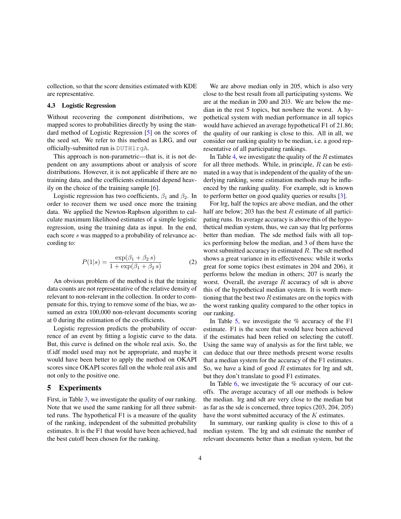collection, so that the score densities estimated with KDE are representative.

#### 4.3 Logistic Regression

Without recovering the component distributions, we mapped scores to probabilities directly by using the standard method of Logistic Regression [\[5\]](#page-5-8) on the scores of the seed set. We refer to this method as LRG, and our officially-submitted run is DUTHlrgA.

This approach is non-parametric—that is, it is not dependent on any assumptions about or analysis of score distributions. However, it is not applicable if there are no training data, and the coefficients estimated depend heavily on the choice of the training sample  $[6]$ .

Logistic regression has two coefficients,  $\beta_1$  and  $\beta_2$ . In order to recover them we used once more the training data. We applied the Newton-Raphson algorithm to calculate maximum likelihood estimates of a simple logistic regression, using the training data as input. In the end, each score s was mapped to a probability of relevance according to:

$$
P(1|s) = \frac{\exp(\beta_1 + \beta_2 s)}{1 + \exp(\beta_1 + \beta_2 s)}
$$
(2)

An obvious problem of the method is that the training data counts are not representative of the relative density of relevant to non-relevant in the collection. In order to compensate for this, trying to remove some of the bias, we assumed an extra 100,000 non-relevant documents scoring at 0 during the estimation of the co-efficients.

Logistic regression predicts the probability of occurrence of an event by fitting a logistic curve to the data. But, this curve is defined on the whole real axis. So, the tf.idf model used may not be appropriate, and maybe it would have been better to apply the method on OKAPI scores since OKAPI scores fall on the whole real axis and not only to the positive one.

#### <span id="page-3-0"></span>5 Experiments

First, in Table [3,](#page-4-0) we investigate the quality of our ranking. Note that we used the same ranking for all three submitted runs. The hypothetical F1 is a measure of the quality of the ranking, independent of the submitted probability estimates. It is the F1 that would have been achieved, had the best cutoff been chosen for the ranking.

We are above median only in 205, which is also very close to the best result from all participating systems. We are at the median in 200 and 203. We are below the median in the rest 5 topics, but nowhere the worst. A hypothetical system with median performance in all topics would have achieved an average hypothetical F1 of 21.86; the quality of our ranking is close to this. All in all, we consider our ranking quality to be median, i.e. a good representative of all participating rankings.

In Table [4,](#page-4-1) we investigate the quality of the  $R$  estimates for all three methods. While, in principle,  $R$  can be estimated in a way that is independent of the quality of the underlying ranking, some estimation methods may be influenced by the ranking quality. For example, sdt is known to perform better on good quality queries or results [\[3\]](#page-5-3).

For lrg, half the topics are above median, and the other half are below; 203 has the best  $R$  estimate of all participating runs. Its average accuracy is above this of the hypothetical median system, thus, we can say that lrg performs better than median. The sde method fails with all topics performing below the median, and 3 of them have the worst submitted accuracy in estimated R. The sdt method shows a great variance in its effectiveness: while it works great for some topics (best estimates in 204 and 206), it performs below the median in others; 207 is nearly the worst. Overall, the average  $R$  accuracy of sdt is above this of the hypothetical median system. It is worth mentioning that the best two  $R$  estimates are on the topics with the worst ranking quality compared to the other topics in our ranking.

In Table [5,](#page-4-2) we investigate the  $%$  accuracy of the F1 estimate. F1 is the score that would have been achieved if the estimates had been relied on selecting the cutoff. Using the same way of analysis as for the first table, we can deduce that our three methods present worse results that a median system for the accuracy of the F1 estimates. So, we have a kind of good  $R$  estimates for lrg and sdt, but they don't translate to good F1 estimates.

In Table [6,](#page-4-3) we investigate the % accuracy of our cutoffs. The average accuracy of all our methods is below the median. lrg and sdt are very close to the median but as far as the sde is concerned, three topics (203, 204, 205) have the worst submitted accuracy of the  $K$  estimates.

In summary, our ranking quality is close to this of a median system. The lrg and sdt estimate the number of relevant documents better than a median system, but the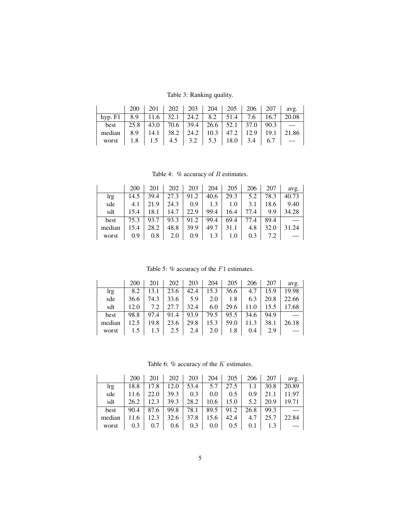<span id="page-4-0"></span>Table 3: Ranking quality.

|                                                                       |  |  |  |  | $200$   201   202   203   204   205   206   207   avg.       |
|-----------------------------------------------------------------------|--|--|--|--|--------------------------------------------------------------|
| hyp. F1   8.9   11.6   32.1   24.2   8.2   51.4   7.6   16.7   20.08  |  |  |  |  |                                                              |
| best 25.8 43.0 70.6 39.4 26.6 52.1 37.0 90.3 $\sim$                   |  |  |  |  |                                                              |
| median   8.9   14.1   38.2   24.2   10.3   47.2   12.9   19.1   21.86 |  |  |  |  |                                                              |
|                                                                       |  |  |  |  | worst   1.8   1.5   4.5   3.2   5.3   18.0   3.4   6.7   $-$ |

<span id="page-4-1"></span>Table 4:  $%$  accuracy of  $R$  estimates.

|                                                                                  |  |  |  |  | $200$   $201$   $202$   $203$   $204$   $205$   $206$   $207$   avg. |
|----------------------------------------------------------------------------------|--|--|--|--|----------------------------------------------------------------------|
| lrg                                                                              |  |  |  |  | 14.5   39.4   27.3   91.2   40.6   29.3   5.2   78.3   40.73         |
| sde                                                                              |  |  |  |  | $ $ 4.1   21.9   24.3   0.9   1.3   1.0   3.1   18.6   9.40          |
| sdt                                                                              |  |  |  |  | 15.4   18.1   14.7   22.9   99.4   16.4   77.4   9.9   34.28         |
| best   75.3   93.7   93.3   91.2   99.4   69.4   77.4   89.4   $\longrightarrow$ |  |  |  |  |                                                                      |
| median   15.4   28.2   48.8   39.9   49.7   31.1   4.8   32.0   31.24            |  |  |  |  |                                                                      |
| worst                                                                            |  |  |  |  |                                                                      |

<span id="page-4-2"></span>Table 5: % accuracy of the  $F1$  estimates.

|        | 200  | 201  | 202  | 203  | 204  | 205  | 206  | 207  | avg.  |
|--------|------|------|------|------|------|------|------|------|-------|
| lrg    | 8.2  | 13.1 | 23.6 | 42.4 | 15.3 | 36.6 | 4.7  | 15.9 | 19.98 |
| sde    | 36.6 | 74.3 | 33.6 | 5.9  | 2.0  | 1.8  | 6.3  | 20.8 | 22.66 |
| sdt    | 12.0 | 7.2  | 27.7 | 32.4 | 6.0  | 29.6 | 11.0 | 15.5 | 17.68 |
| best   | 98.8 | 97.4 | 91.4 | 93.9 | 79.5 | 95.5 | 34.6 | 94.9 |       |
| median | 12.5 | 19.8 | 23.6 | 29.8 | 15.3 | 59.0 | 11.3 | 38.1 | 26.18 |
| worst  |      | 1.3  | 2.5  | 2.4  | 2.0  | 1.8  | 0.4  | 2.9  |       |

<span id="page-4-3"></span>Table 6:  $%$  accuracy of the  $K$  estimates.

|                                                                       | 200 |                           |  |                                                           |               | $201 \mid 202 \mid 203 \mid 204 \mid 205 \mid 206 \mid 207 \mid \text{avg.}$ |
|-----------------------------------------------------------------------|-----|---------------------------|--|-----------------------------------------------------------|---------------|------------------------------------------------------------------------------|
| lrg                                                                   |     |                           |  | 18.8   17.8   12.0   53.4   5.7   27.5   1.1   30.8       |               | 20.89                                                                        |
| sde                                                                   |     |                           |  | 11.6   22.0   39.3   0.3   0.0   0.5   0.9   21.1   11.97 |               |                                                                              |
| sdt                                                                   |     | 26.2   12.3   39.3   28.2 |  | $10.6$   15.0   5.2   20.9   19.71                        |               |                                                                              |
| best                                                                  |     |                           |  | $90.4$   87.6   99.8   78.1   89.5   91.2                 | $26.8$   99.3 |                                                                              |
| median                                                                |     |                           |  | $11.6$   12.3   32.6   37.8   15.6   42.4   4.7   25.7    |               | 22.84                                                                        |
| worst   $0.3$   $0.7$   $0.6$   $0.3$   $0.0$   $0.5$   $0.1$   $1.3$ |     |                           |  |                                                           |               |                                                                              |